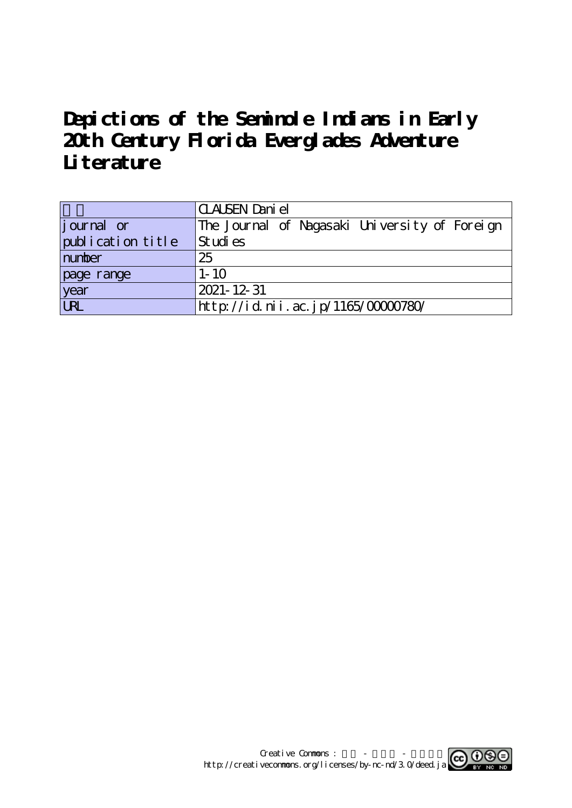# **Depictions of the Seminole Indians in Early 20th Century Florida Everglades Adventure Literature**

|                    | <b>CLALSEN</b> Dani el                        |
|--------------------|-----------------------------------------------|
| <i>j</i> ournal or | The Journal of Nagasaki University of Foreign |
| publication title  | Studies                                       |
| number             | 25                                            |
| page range         | $1 - 10$                                      |
| year<br>URL        | 2021-12-31                                    |
|                    | http://id.nii.ac.jp/1165/00000780/            |

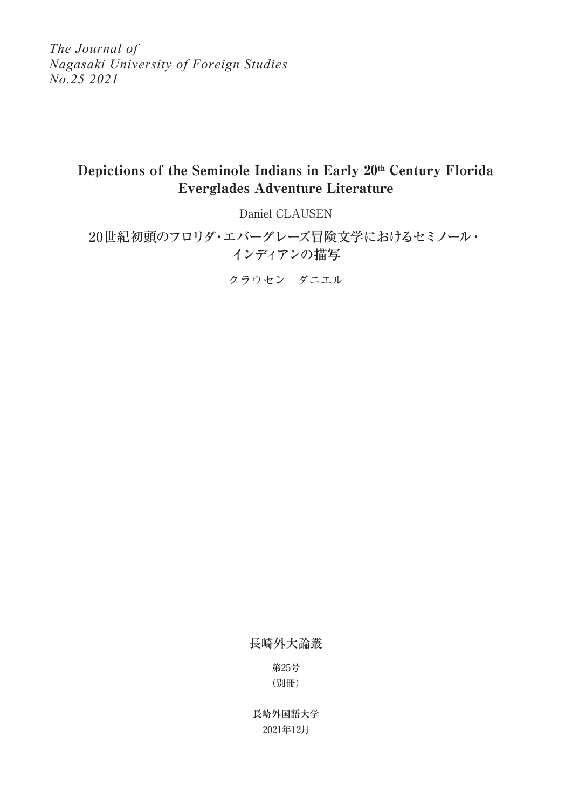*The Journal of Nagasaki University of Foreign Studies No.25 2021*

## Depictions of the Seminole Indians in Early 20<sup>th</sup> Century Florida Everglades Adventure Literature

Daniel CLAUSEN

20世紀初頭のフロリダ・エバーグレーズ冒険文学におけるセミノール・ インディアンの描写

クラウセン ダニエル

長崎外大論叢

第25号 (別冊)

2021年12月 長崎外国語大学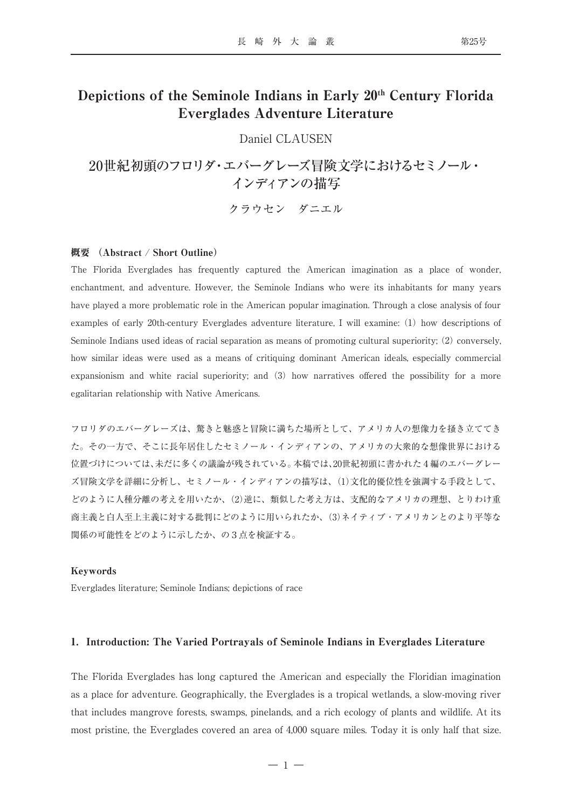### Depictions of the Seminole Indians in Early 20<sup>th</sup> Century Florida Everglades Adventure Literature

Daniel CLAUSEN

20世紀初頭のフロリダ・エバーグレーズ冒険文学におけるセミノール・ インディアンの描写

クラウセン ダニエル

#### 概要 (Abstract / Short Outline)

The Florida Everglades has frequently captured the American imagination as a place of wonder, enchantment, and adventure. However, the Seminole Indians who were its inhabitants for many years have played a more problematic role in the American popular imagination. Through a close analysis of four examples of early 20th-century Everglades adventure literature, I will examine: (1) how descriptions of Seminole Indians used ideas of racial separation as means of promoting cultural superiority; (2) conversely, how similar ideas were used as a means of critiquing dominant American ideals, especially commercial expansionism and white racial superiority; and (3) how narratives offered the possibility for a more egalitarian relationship with Native Americans.

フロリダのエバーグレーズは、驚きと魅惑と冒険に満ちた場所として、アメリカ人の想像力を掻き立ててき た。その一方で、そこに長年居住したセミノール・インディアンの、アメリカの大衆的な想像世界における 位置づけについては、未だに多くの議論が残されている。本稿では、20世紀初頭に書かれた4編のエバーグレー ズ冒険文学を詳細に分析し、セミノール・インディアンの描写は、(1)文化的優位性を強調する手段として、 どのように人種分離の考えを用いたか、(2)逆に、類似した考え方は、支配的なアメリカの理想、とりわけ重 商主義と白人至上主義に対する批判にどのように用いられたか、(3)ネイティブ・アメリカンとのより平等な 関係の可能性をどのように示したか、の3点を検証する。

#### Keywords

Everglades literature; Seminole Indians; depictions of race

#### 1.Introduction: The Varied Portrayals of Seminole Indians in Everglades Literature

The Florida Everglades has long captured the American and especially the Floridian imagination as a place for adventure. Geographically, the Everglades is a tropical wetlands, a slow-moving river that includes mangrove forests, swamps, pinelands, and a rich ecology of plants and wildlife. At its most pristine, the Everglades covered an area of 4,000 square miles. Today it is only half that size.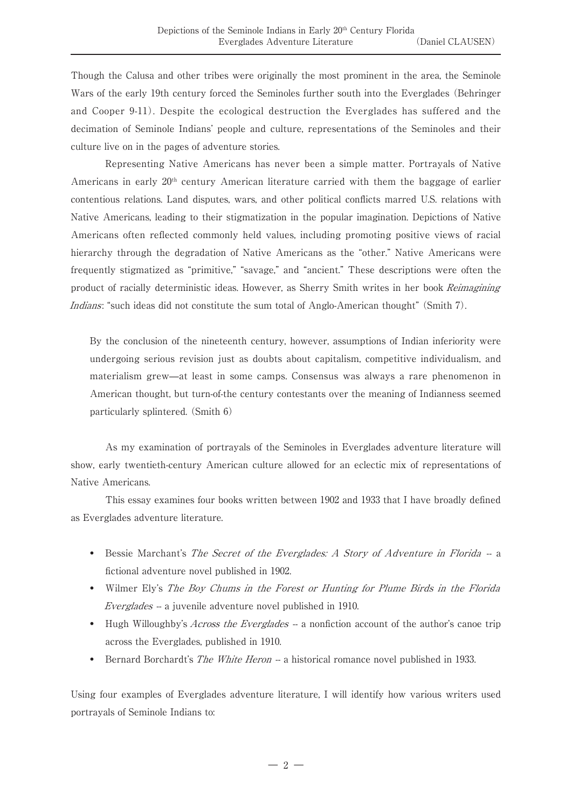Though the Calusa and other tribes were originally the most prominent in the area, the Seminole Wars of the early 19th century forced the Seminoles further south into the Everglades (Behringer and Cooper 9-11). Despite the ecological destruction the Everglades has suffered and the decimation of Seminole Indians' people and culture, representations of the Seminoles and their culture live on in the pages of adventure stories.

Representing Native Americans has never been a simple matter. Portrayals of Native Americans in early  $20<sup>th</sup>$  century American literature carried with them the baggage of earlier contentious relations. Land disputes, wars, and other political conflicts marred U.S. relations with Native Americans, leading to their stigmatization in the popular imagination. Depictions of Native Americans often reflected commonly held values, including promoting positive views of racial hierarchy through the degradation of Native Americans as the "other." Native Americans were frequently stigmatized as "primitive," "savage," and "ancient." These descriptions were often the product of racially deterministic ideas. However, as Sherry Smith writes in her book Reimagining Indians: "such ideas did not constitute the sum total of Anglo-American thought" (Smith 7).

 By the conclusion of the nineteenth century, however, assumptions of Indian inferiority were undergoing serious revision just as doubts about capitalism, competitive individualism, and materialism grew—at least in some camps. Consensus was always a rare phenomenon in American thought, but turn-of-the century contestants over the meaning of Indianness seemed particularly splintered. (Smith 6)

As my examination of portrayals of the Seminoles in Everglades adventure literature will show, early twentieth-century American culture allowed for an eclectic mix of representations of Native Americans.

This essay examines four books written between 1902 and 1933 that I have broadly defined as Everglades adventure literature.

- Bessie Marchant's The Secret of the Everglades: A Story of Adventure in Florida -fictional adventure novel published in 1902.
- Wilmer Ely's The Boy Chums in the Forest or Hunting for Plume Birds in the Florida Everglades -- a juvenile adventure novel published in 1910.
- • Hugh Willoughby's Across the Everglades -- a nonfiction account of the author's canoe trip across the Everglades, published in 1910.
- Bernard Borchardt's *The White Heron* a historical romance novel published in 1933.

Using four examples of Everglades adventure literature, I will identify how various writers used portrayals of Seminole Indians to: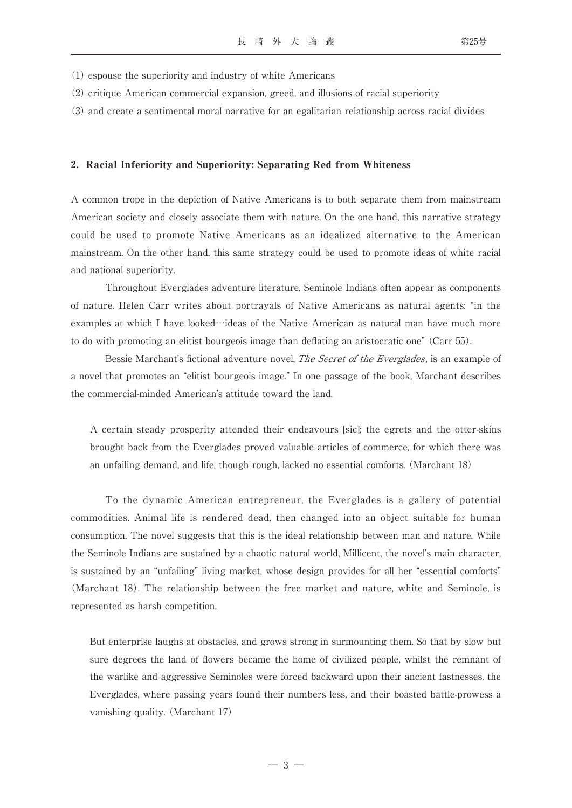- (1) espouse the superiority and industry of white Americans
- (2) critique American commercial expansion, greed, and illusions of racial superiority
- (3) and create a sentimental moral narrative for an egalitarian relationship across racial divides

#### 2.Racial Inferiority and Superiority: Separating Red from Whiteness

A common trope in the depiction of Native Americans is to both separate them from mainstream American society and closely associate them with nature. On the one hand, this narrative strategy could be used to promote Native Americans as an idealized alternative to the American mainstream. On the other hand, this same strategy could be used to promote ideas of white racial and national superiority.

Throughout Everglades adventure literature, Seminole Indians often appear as components of nature. Helen Carr writes about portrayals of Native Americans as natural agents: "in the examples at which I have looked…ideas of the Native American as natural man have much more to do with promoting an elitist bourgeois image than deflating an aristocratic one" (Carr 55).

Bessie Marchant's fictional adventure novel, *The Secret of the Everglades*, is an example of a novel that promotes an "elitist bourgeois image." In one passage of the book, Marchant describes the commercial-minded American's attitude toward the land.

 A certain steady prosperity attended their endeavours [sic]; the egrets and the otter-skins brought back from the Everglades proved valuable articles of commerce, for which there was an unfailing demand, and life, though rough, lacked no essential comforts. (Marchant 18)

To the dynamic American entrepreneur, the Everglades is a gallery of potential commodities. Animal life is rendered dead, then changed into an object suitable for human consumption. The novel suggests that this is the ideal relationship between man and nature. While the Seminole Indians are sustained by a chaotic natural world, Millicent, the novel's main character, is sustained by an "unfailing" living market, whose design provides for all her "essential comforts" (Marchant 18). The relationship between the free market and nature, white and Seminole, is represented as harsh competition.

 But enterprise laughs at obstacles, and grows strong in surmounting them. So that by slow but sure degrees the land of flowers became the home of civilized people, whilst the remnant of the warlike and aggressive Seminoles were forced backward upon their ancient fastnesses, the Everglades, where passing years found their numbers less, and their boasted battle-prowess a vanishing quality. (Marchant 17)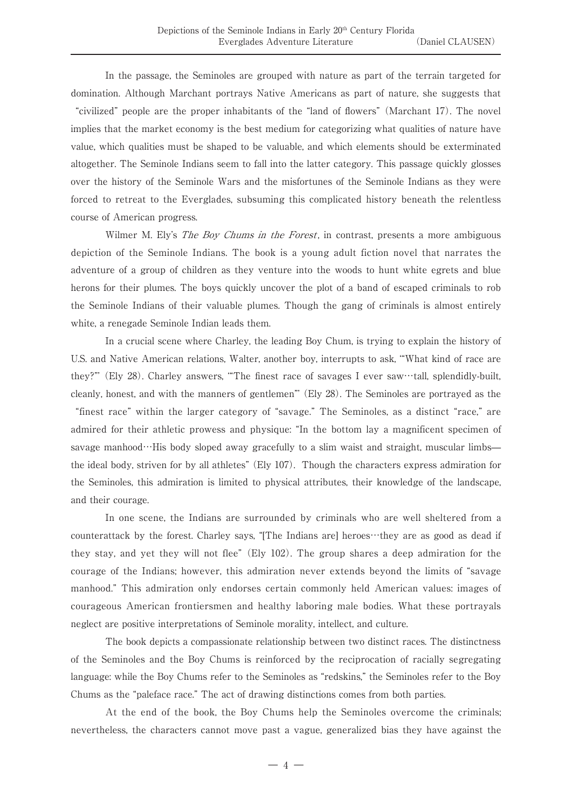In the passage, the Seminoles are grouped with nature as part of the terrain targeted for domination. Although Marchant portrays Native Americans as part of nature, she suggests that

"civilized" people are the proper inhabitants of the "land of flowers" (Marchant 17). The novel implies that the market economy is the best medium for categorizing what qualities of nature have value, which qualities must be shaped to be valuable, and which elements should be exterminated altogether. The Seminole Indians seem to fall into the latter category. This passage quickly glosses over the history of the Seminole Wars and the misfortunes of the Seminole Indians as they were forced to retreat to the Everglades, subsuming this complicated history beneath the relentless course of American progress.

Wilmer M. Ely's *The Boy Chums in the Forest*, in contrast, presents a more ambiguous depiction of the Seminole Indians. The book is a young adult fiction novel that narrates the adventure of a group of children as they venture into the woods to hunt white egrets and blue herons for their plumes. The boys quickly uncover the plot of a band of escaped criminals to rob the Seminole Indians of their valuable plumes. Though the gang of criminals is almost entirely white, a renegade Seminole Indian leads them.

In a crucial scene where Charley, the leading Boy Chum, is trying to explain the history of U.S. and Native American relations, Walter, another boy, interrupts to ask, '"What kind of race are they?"' (Ely 28). Charley answers, '"The finest race of savages I ever saw…tall, splendidly-built, cleanly, honest, and with the manners of gentlemen"' (Ely 28). The Seminoles are portrayed as the "finest race" within the larger category of "savage." The Seminoles, as a distinct "race," are admired for their athletic prowess and physique: "In the bottom lay a magnificent specimen of savage manhood…His body sloped away gracefully to a slim waist and straight, muscular limbs the ideal body, striven for by all athletes" (Ely 107). Though the characters express admiration for the Seminoles, this admiration is limited to physical attributes, their knowledge of the landscape, and their courage.

In one scene, the Indians are surrounded by criminals who are well sheltered from a counterattack by the forest. Charley says, "[The Indians are] heroes…they are as good as dead if they stay, and yet they will not flee" (Ely 102). The group shares a deep admiration for the courage of the Indians; however, this admiration never extends beyond the limits of "savage manhood." This admiration only endorses certain commonly held American values: images of courageous American frontiersmen and healthy laboring male bodies. What these portrayals neglect are positive interpretations of Seminole morality, intellect, and culture.

The book depicts a compassionate relationship between two distinct races. The distinctness of the Seminoles and the Boy Chums is reinforced by the reciprocation of racially segregating language: while the Boy Chums refer to the Seminoles as "redskins," the Seminoles refer to the Boy Chums as the "paleface race." The act of drawing distinctions comes from both parties.

At the end of the book, the Boy Chums help the Seminoles overcome the criminals; nevertheless, the characters cannot move past a vague, generalized bias they have against the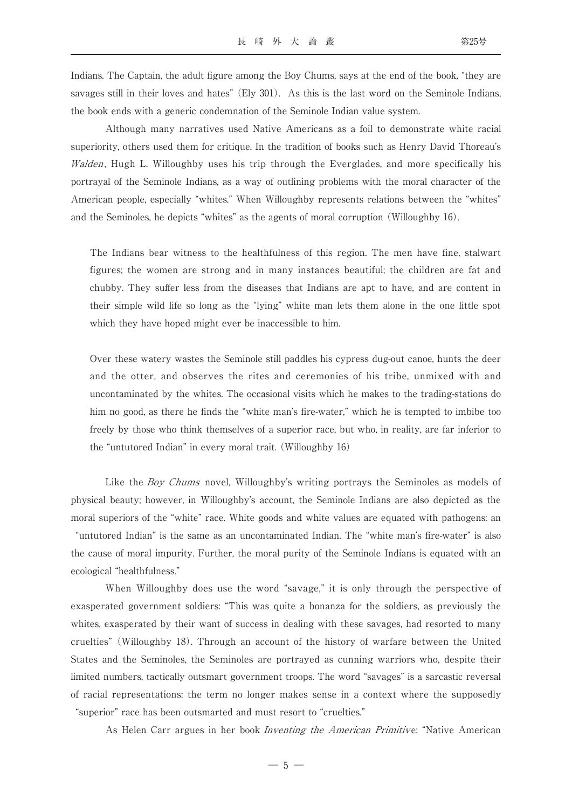Indians. The Captain, the adult figure among the Boy Chums, says at the end of the book, "they are savages still in their loves and hates" (Ely 301). As this is the last word on the Seminole Indians, the book ends with a generic condemnation of the Seminole Indian value system.

Although many narratives used Native Americans as a foil to demonstrate white racial superiority, others used them for critique. In the tradition of books such as Henry David Thoreau's Walden, Hugh L. Willoughby uses his trip through the Everglades, and more specifically his portrayal of the Seminole Indians, as a way of outlining problems with the moral character of the American people, especially "whites." When Willoughby represents relations between the "whites" and the Seminoles, he depicts "whites" as the agents of moral corruption (Willoughby 16).

 The Indians bear witness to the healthfulness of this region. The men have fine, stalwart figures; the women are strong and in many instances beautiful; the children are fat and chubby. They suffer less from the diseases that Indians are apt to have, and are content in their simple wild life so long as the "lying" white man lets them alone in the one little spot which they have hoped might ever be inaccessible to him.

 Over these watery wastes the Seminole still paddles his cypress dug-out canoe, hunts the deer and the otter, and observes the rites and ceremonies of his tribe, unmixed with and uncontaminated by the whites. The occasional visits which he makes to the trading-stations do him no good, as there he finds the "white man's fire-water," which he is tempted to imbibe too freely by those who think themselves of a superior race, but who, in reality, are far inferior to the "untutored Indian" in every moral trait. (Willoughby 16)

Like the *Boy Chums* novel, Willoughby's writing portrays the Seminoles as models of physical beauty; however, in Willoughby's account, the Seminole Indians are also depicted as the moral superiors of the "white" race. White goods and white values are equated with pathogens: an "untutored Indian" is the same as an uncontaminated Indian. The "white man's fire-water" is also the cause of moral impurity. Further, the moral purity of the Seminole Indians is equated with an ecological "healthfulness."

When Willoughby does use the word "savage," it is only through the perspective of exasperated government soldiers: "This was quite a bonanza for the soldiers, as previously the whites, exasperated by their want of success in dealing with these savages, had resorted to many cruelties" (Willoughby 18). Through an account of the history of warfare between the United States and the Seminoles, the Seminoles are portrayed as cunning warriors who, despite their limited numbers, tactically outsmart government troops. The word "savages" is a sarcastic reversal of racial representations: the term no longer makes sense in a context where the supposedly "superior" race has been outsmarted and must resort to "cruelties."

As Helen Carr argues in her book *Inventing the American Primitive*: "Native American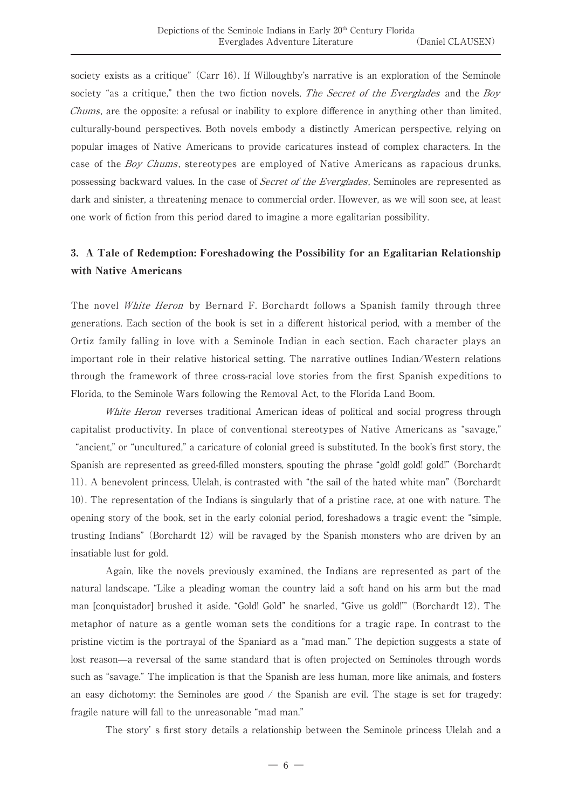society exists as a critique" (Carr 16). If Willoughby's narrative is an exploration of the Seminole society "as a critique," then the two fiction novels, *The Secret of the Everglades* and the *Boy* Chums, are the opposite: a refusal or inability to explore difference in anything other than limited, culturally-bound perspectives. Both novels embody a distinctly American perspective, relying on popular images of Native Americans to provide caricatures instead of complex characters. In the case of the *Boy Chums*, stereotypes are employed of Native Americans as rapacious drunks, possessing backward values. In the case of Secret of the Everglades, Seminoles are represented as dark and sinister, a threatening menace to commercial order. However, as we will soon see, at least one work of fiction from this period dared to imagine a more egalitarian possibility.

### 3.A Tale of Redemption: Foreshadowing the Possibility for an Egalitarian Relationship with Native Americans

The novel White Heron by Bernard F. Borchardt follows a Spanish family through three generations. Each section of the book is set in a different historical period, with a member of the Ortiz family falling in love with a Seminole Indian in each section. Each character plays an important role in their relative historical setting. The narrative outlines Indian/Western relations through the framework of three cross-racial love stories from the first Spanish expeditions to Florida, to the Seminole Wars following the Removal Act, to the Florida Land Boom.

White Heron reverses traditional American ideas of political and social progress through capitalist productivity. In place of conventional stereotypes of Native Americans as "savage," "ancient," or "uncultured," a caricature of colonial greed is substituted. In the book's first story, the Spanish are represented as greed-filled monsters, spouting the phrase "gold! gold! gold!" (Borchardt 11). A benevolent princess, Ulelah, is contrasted with "the sail of the hated white man" (Borchardt 10). The representation of the Indians is singularly that of a pristine race, at one with nature. The opening story of the book, set in the early colonial period, foreshadows a tragic event: the "simple, trusting Indians" (Borchardt 12) will be ravaged by the Spanish monsters who are driven by an insatiable lust for gold.

Again, like the novels previously examined, the Indians are represented as part of the natural landscape. "Like a pleading woman the country laid a soft hand on his arm but the mad man [conquistador] brushed it aside. "Gold! Gold" he snarled, "Give us gold!"' (Borchardt 12). The metaphor of nature as a gentle woman sets the conditions for a tragic rape. In contrast to the pristine victim is the portrayal of the Spaniard as a "mad man." The depiction suggests a state of lost reason—a reversal of the same standard that is often projected on Seminoles through words such as "savage." The implication is that the Spanish are less human, more like animals, and fosters an easy dichotomy: the Seminoles are good  $\prime$  the Spanish are evil. The stage is set for tragedy: fragile nature will fall to the unreasonable "mad man."

The story' s first story details a relationship between the Seminole princess Ulelah and a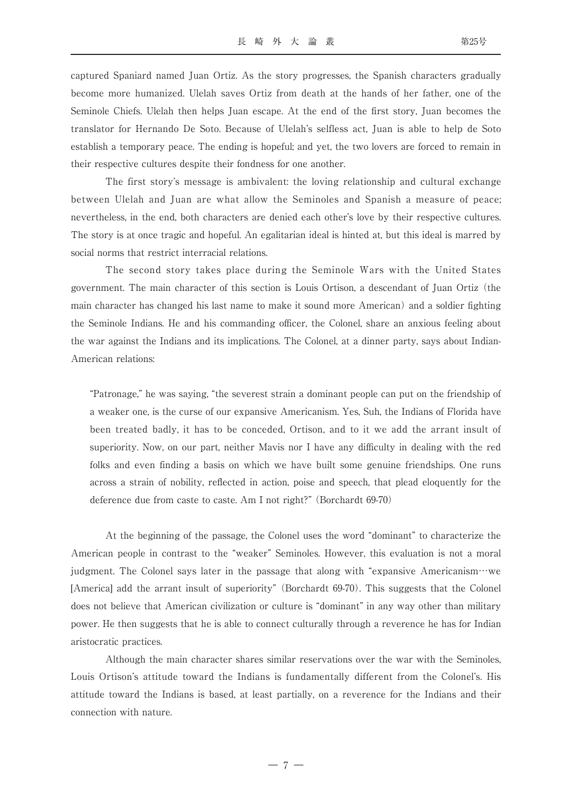captured Spaniard named Juan Ortiz. As the story progresses, the Spanish characters gradually become more humanized. Ulelah saves Ortiz from death at the hands of her father, one of the Seminole Chiefs. Ulelah then helps Juan escape. At the end of the first story, Juan becomes the translator for Hernando De Soto. Because of Ulelah's selfless act, Juan is able to help de Soto establish a temporary peace. The ending is hopeful; and yet, the two lovers are forced to remain in their respective cultures despite their fondness for one another.

The first story's message is ambivalent: the loving relationship and cultural exchange between Ulelah and Juan are what allow the Seminoles and Spanish a measure of peace; nevertheless, in the end, both characters are denied each other's love by their respective cultures. The story is at once tragic and hopeful. An egalitarian ideal is hinted at, but this ideal is marred by social norms that restrict interracial relations.

The second story takes place during the Seminole Wars with the United States government. The main character of this section is Louis Ortison, a descendant of Juan Ortiz (the main character has changed his last name to make it sound more American) and a soldier fighting the Seminole Indians. He and his commanding officer, the Colonel, share an anxious feeling about the war against the Indians and its implications. The Colonel, at a dinner party, says about Indian-American relations:

 "Patronage," he was saying, "the severest strain a dominant people can put on the friendship of a weaker one, is the curse of our expansive Americanism. Yes, Suh, the Indians of Florida have been treated badly, it has to be conceded, Ortison, and to it we add the arrant insult of superiority. Now, on our part, neither Mavis nor I have any difficulty in dealing with the red folks and even finding a basis on which we have built some genuine friendships. One runs across a strain of nobility, reflected in action, poise and speech, that plead eloquently for the deference due from caste to caste. Am I not right?" (Borchardt 69-70)

At the beginning of the passage, the Colonel uses the word "dominant" to characterize the American people in contrast to the "weaker" Seminoles. However, this evaluation is not a moral judgment. The Colonel says later in the passage that along with "expansive Americanism…we [America] add the arrant insult of superiority" (Borchardt 69-70). This suggests that the Colonel does not believe that American civilization or culture is "dominant" in any way other than military power. He then suggests that he is able to connect culturally through a reverence he has for Indian aristocratic practices.

Although the main character shares similar reservations over the war with the Seminoles, Louis Ortison's attitude toward the Indians is fundamentally different from the Colonel's. His attitude toward the Indians is based, at least partially, on a reverence for the Indians and their connection with nature.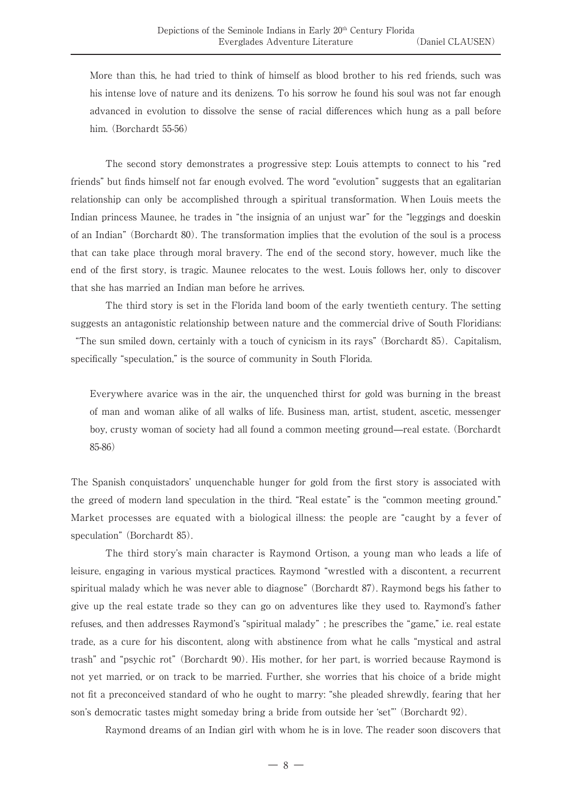More than this, he had tried to think of himself as blood brother to his red friends, such was his intense love of nature and its denizens. To his sorrow he found his soul was not far enough advanced in evolution to dissolve the sense of racial differences which hung as a pall before him. (Borchardt 55-56)

The second story demonstrates a progressive step: Louis attempts to connect to his "red friends" but finds himself not far enough evolved. The word "evolution" suggests that an egalitarian relationship can only be accomplished through a spiritual transformation. When Louis meets the Indian princess Maunee, he trades in "the insignia of an unjust war" for the "leggings and doeskin of an Indian" (Borchardt 80). The transformation implies that the evolution of the soul is a process that can take place through moral bravery. The end of the second story, however, much like the end of the first story, is tragic. Maunee relocates to the west. Louis follows her, only to discover that she has married an Indian man before he arrives.

The third story is set in the Florida land boom of the early twentieth century. The setting suggests an antagonistic relationship between nature and the commercial drive of South Floridians:

"The sun smiled down, certainly with a touch of cynicism in its rays" (Borchardt 85). Capitalism, specifically "speculation," is the source of community in South Florida.

 Everywhere avarice was in the air, the unquenched thirst for gold was burning in the breast of man and woman alike of all walks of life. Business man, artist, student, ascetic, messenger boy, crusty woman of society had all found a common meeting ground—real estate. (Borchardt 85-86)

The Spanish conquistadors' unquenchable hunger for gold from the first story is associated with the greed of modern land speculation in the third. "Real estate" is the "common meeting ground." Market processes are equated with a biological illness: the people are "caught by a fever of speculation" (Borchardt 85).

The third story's main character is Raymond Ortison, a young man who leads a life of leisure, engaging in various mystical practices. Raymond "wrestled with a discontent, a recurrent spiritual malady which he was never able to diagnose" (Borchardt 87). Raymond begs his father to give up the real estate trade so they can go on adventures like they used to. Raymond's father refuses, and then addresses Raymond's "spiritual malady" ; he prescribes the "game," i.e. real estate trade, as a cure for his discontent, along with abstinence from what he calls "mystical and astral trash" and "psychic rot" (Borchardt 90). His mother, for her part, is worried because Raymond is not yet married, or on track to be married. Further, she worries that his choice of a bride might not fit a preconceived standard of who he ought to marry: "she pleaded shrewdly, fearing that her son's democratic tastes might someday bring a bride from outside her 'set"' (Borchardt 92).

Raymond dreams of an Indian girl with whom he is in love. The reader soon discovers that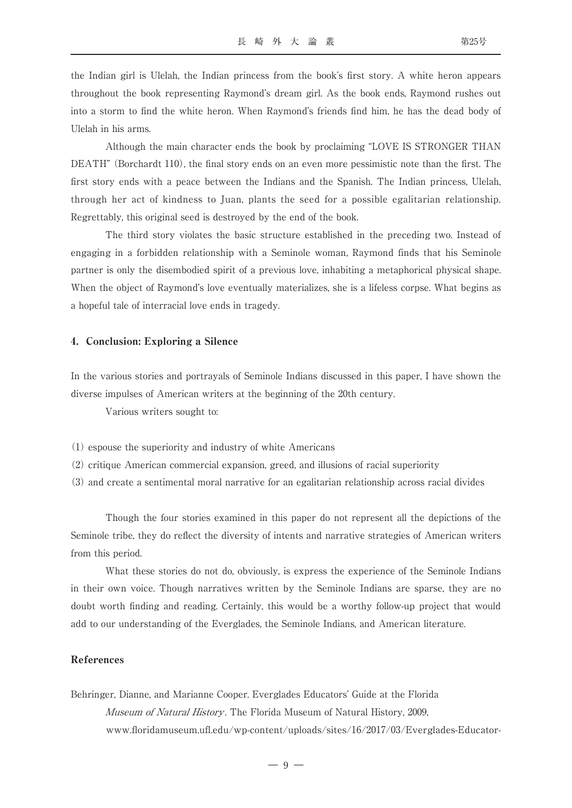the Indian girl is Ulelah, the Indian princess from the book's first story. A white heron appears throughout the book representing Raymond's dream girl. As the book ends, Raymond rushes out into a storm to find the white heron. When Raymond's friends find him, he has the dead body of Ulelah in his arms.

Although the main character ends the book by proclaiming "LOVE IS STRONGER THAN DEATH" (Borchardt 110), the final story ends on an even more pessimistic note than the first. The first story ends with a peace between the Indians and the Spanish. The Indian princess, Ulelah, through her act of kindness to Juan, plants the seed for a possible egalitarian relationship. Regrettably, this original seed is destroyed by the end of the book.

The third story violates the basic structure established in the preceding two. Instead of engaging in a forbidden relationship with a Seminole woman, Raymond finds that his Seminole partner is only the disembodied spirit of a previous love, inhabiting a metaphorical physical shape. When the object of Raymond's love eventually materializes, she is a lifeless corpse. What begins as a hopeful tale of interracial love ends in tragedy.

#### 4.Conclusion: Exploring a Silence

In the various stories and portrayals of Seminole Indians discussed in this paper, I have shown the diverse impulses of American writers at the beginning of the 20th century.

Various writers sought to:

- (1) espouse the superiority and industry of white Americans
- (2) critique American commercial expansion, greed, and illusions of racial superiority
- (3) and create a sentimental moral narrative for an egalitarian relationship across racial divides

Though the four stories examined in this paper do not represent all the depictions of the Seminole tribe, they do reflect the diversity of intents and narrative strategies of American writers from this period.

What these stories do not do, obviously, is express the experience of the Seminole Indians in their own voice. Though narratives written by the Seminole Indians are sparse, they are no doubt worth finding and reading. Certainly, this would be a worthy follow-up project that would add to our understanding of the Everglades, the Seminole Indians, and American literature.

#### References

Behringer, Dianne, and Marianne Cooper. Everglades Educators' Guide at the Florida Museum of Natural History. The Florida Museum of Natural History, 2009, www.floridamuseum.ufl.edu/wp-content/uploads/sites/16/2017/03/Everglades-Educator-

 $-9 -$